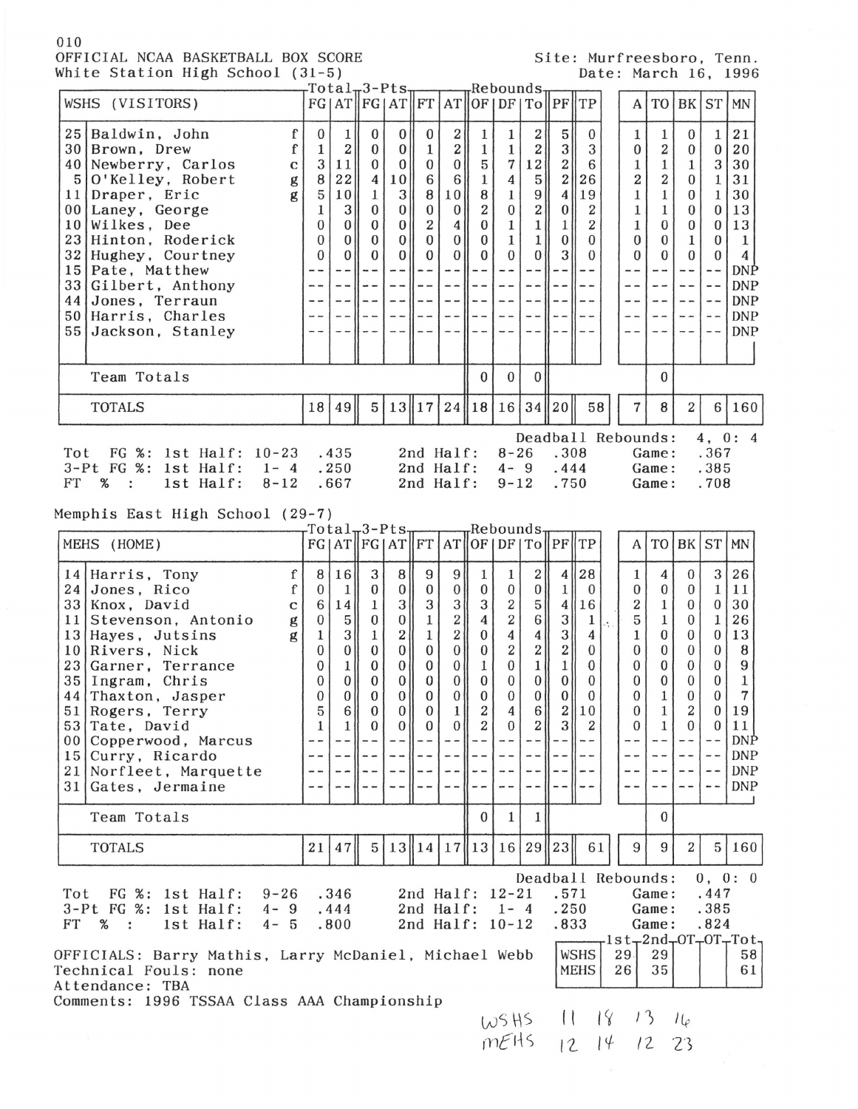## 010 OFFICIAL NCAA BASKETBALL BOX SCORE White Station High School (31-5)

|  | Site: Murfreesboro, Tenn. |  |
|--|---------------------------|--|
|  | Date: March 16, 1996      |  |

| white station high school (51-3)                                                                                                                                                                                                                                                                                                                                                                                                               |                                                                                                                                    |                                                                                                                                                            |                                                                                                                                                                             |                                                                                                                                                                                |                                                                                                                                                                                                          |                                                                                                                                                                       |                                                                                                                                                                                                 |                                                                                                                                                                                                                                                             |                                                                                                                                                                                                                |                                                                                                                                                                                                |                                                                                                                                                                                |    |                                                                                                                                                                                                       |                                                                                                                                                                                                             |                                                                                                                                                                                                       |                                                                                                                                                                                                                 | $\mu$ ale; March 10, 1990                                                                                                  |
|------------------------------------------------------------------------------------------------------------------------------------------------------------------------------------------------------------------------------------------------------------------------------------------------------------------------------------------------------------------------------------------------------------------------------------------------|------------------------------------------------------------------------------------------------------------------------------------|------------------------------------------------------------------------------------------------------------------------------------------------------------|-----------------------------------------------------------------------------------------------------------------------------------------------------------------------------|--------------------------------------------------------------------------------------------------------------------------------------------------------------------------------|----------------------------------------------------------------------------------------------------------------------------------------------------------------------------------------------------------|-----------------------------------------------------------------------------------------------------------------------------------------------------------------------|-------------------------------------------------------------------------------------------------------------------------------------------------------------------------------------------------|-------------------------------------------------------------------------------------------------------------------------------------------------------------------------------------------------------------------------------------------------------------|----------------------------------------------------------------------------------------------------------------------------------------------------------------------------------------------------------------|------------------------------------------------------------------------------------------------------------------------------------------------------------------------------------------------|--------------------------------------------------------------------------------------------------------------------------------------------------------------------------------|----|-------------------------------------------------------------------------------------------------------------------------------------------------------------------------------------------------------|-------------------------------------------------------------------------------------------------------------------------------------------------------------------------------------------------------------|-------------------------------------------------------------------------------------------------------------------------------------------------------------------------------------------------------|-----------------------------------------------------------------------------------------------------------------------------------------------------------------------------------------------------------------|----------------------------------------------------------------------------------------------------------------------------|
| WSHS (VISITORS)                                                                                                                                                                                                                                                                                                                                                                                                                                |                                                                                                                                    |                                                                                                                                                            | rTotal <sub>π</sub> 3-Pts <sub>π</sub><br>FG   AT FG   AT FT   AT                                                                                                           |                                                                                                                                                                                |                                                                                                                                                                                                          |                                                                                                                                                                       |                                                                                                                                                                                                 | "Rebounds"                                                                                                                                                                                                                                                  |                                                                                                                                                                                                                |                                                                                                                                                                                                | [OF DF TO  PF  TP]                                                                                                                                                             |    | A                                                                                                                                                                                                     |                                                                                                                                                                                                             |                                                                                                                                                                                                       | TO BK ST                                                                                                                                                                                                        | <b>MN</b>                                                                                                                  |
| $\mathbf f$<br>25   Baldwin, John<br>$\mathbf f$<br>30 Brown, Drew<br>40 Newberry, Carlos<br>$\mathbf C$<br>$5 0$ 'Kelley, Robert<br>$\mathbf{g}% _{T}=\mathbf{g}_{T}$<br>11 Draper, Eric<br>g<br>00 Laney, George<br>10   Wilkes, Dee<br>23 Hinton, Roderick<br>32 Hughey, Courtney<br>15 Pate, Matthew<br>33 <br>Gilbert, Anthony<br>44 Jones, Terraun<br>50 Harris, Charles<br>55 Jackson, Stanley                                          | $\bf{0}$<br>$\mathbf{1}$<br>3<br>8<br>5<br>1<br>$\bf{0}$<br>$\Omega$<br>$\Omega$<br>$- -$<br>$- -$                                 | $\mathbf{1}$<br>$\mathbf{2}$<br>11<br>22<br>10<br>3<br> 0 <br>$\bf{0}$<br>$\overline{0}$<br>$- -$<br>$- -$<br>$\overline{\phantom{m}}$<br>$- -$<br>$- - -$ | $\bf{0}$<br>$\bf{0}$<br>$\mathbf{0}$<br>4<br>$\mathbf{1}$<br>$\bf{0}$<br>$\bf{0}$<br>$\mathbf{0}$<br>$\mathbf{0}$<br>‼ ~ ~<br>$- -$<br>$- -$<br>$- -$<br>$\sim$ $\sim$      | 0 <sup>1</sup><br> 0 <br>$\vert 0 \vert$<br>10<br>3 <sup>1</sup><br> 0 <br> 0 <br> 0 <br> 0 <br>$- - 1$<br>$--$<br>$- -$<br>$- -$                                              | $\bf{0}$<br>$\mathbf{1}$<br>$\mathbf{0}$<br>6<br>8<br>$\bf{0}$<br>$\boldsymbol{2}$<br>$\theta$<br>$\Omega$<br>--    --<br>$\cdots$<br>$\overline{\phantom{a}}$ $\overline{\phantom{a}}$<br>$- -$<br>$-1$ | 2<br>2 <br>$\bf{0}$<br>6<br>10<br>$\boldsymbol{0}$<br>4<br>$\boldsymbol{0}$<br>$\bf{0}$<br>$\cdots$<br>--   <br>$\overline{\phantom{m}}$<br>--                        | $\mathbf{1}$<br>$1\,$<br>$\overline{5}$<br>$\mathbf{1}$<br>8<br>$\overline{2}$<br>$\mathbf{0}$<br>$\bf{0}$<br>$\mathbf{0}$<br>$   - -$<br>$- -$<br>$- - 1 - -$<br>$\overline{\phantom{m}}$      | 1<br>$\mathbf{1}$<br>$\overline{7}$<br>4<br>$\mathbf{1}$<br>$\boldsymbol{0}$<br>$\mathbf{1}$<br>$\mathbf{1}$<br>$\Omega$<br>$\overline{\phantom{a}}$ $\overline{\phantom{a}}$<br>$- -$<br>$ -$<br>$ -$<br>$- -$                                             | $\mathbf{2}$<br>$2\vert$<br>12<br>$5\vert$<br>$\vert 9 \vert$<br>$\overline{2}$<br>$1\vert$<br>1 <br>0<br>$- -$<br>$= -$                                                                                       | 5 <sup>1</sup><br>$3\parallel$<br>$2\parallel$<br>$\boldsymbol{2}$<br>4<br>$\mathbf{0}$<br>$\mathbf{1}$<br>$\mathbf{0}$<br>3<br>$--- 11---$<br>$\sim$ $-$<br>--    --<br>$ -$<br>$\sim$ $\sim$ | $\bf{0}$<br>3<br>6<br>26<br>19<br>$\boldsymbol{2}$<br>$\overline{\mathbf{2}}$<br>$\Omega$<br>$\Omega$<br>$   - -$<br>--<br>$1 - -$<br>$\sim$ $-$<br>--                         |    | $\mathbf{1}$<br>$\boldsymbol{0}$<br>$\mathbf 1$<br>$\overline{2}$<br>$\mathbf{1}% _{T}=\mathbf{1}_{T}\times\mathbf{1}_{T}$<br>$\mathbf{1}$<br>1<br>$\bf{0}$<br>$\Omega$<br>$- -$<br>- -<br>- -<br>- - | 1<br>$\overline{\mathbf{2}}$<br>$\mathbf{1}$<br>$\boldsymbol{2}$<br>1<br>$\mathbf{1}$<br>$\bf{0}$<br>$\Omega$<br>$\theta$<br>$-\ -$<br>- -<br>$\overline{\phantom{m}}$<br>$\overline{\phantom{m}}$<br>$- -$ | $\bf{0}$<br>$\bf{0}$<br>1<br>$\overline{0}$<br>$\mathbf{0}$<br>$\bf{0}$<br>$\bf{0}$<br>$\mathbf{1}$<br>$\Omega$<br>$- -$<br>--<br>$- -$<br>- -<br>--                                                  | $\mathbf{1}$<br>$\boldsymbol{0}$<br>3<br>$\mathbf{1}$<br>1<br>$\bf{0}$<br>$\bf{0}$<br>$\bf{0}$<br>$\mathbf{0}$<br>$\overline{\phantom{m}}$ $\overline{\phantom{m}}$<br>$- -$<br>$- -$<br>$- -$<br>$\sim$ $\sim$ | 21<br>20<br>30<br>31<br>30<br>13<br>13<br>$\mathbf{1}$<br>4<br>DNP<br><b>DNP</b><br><b>DNP</b><br><b>DNP</b><br><b>DNP</b> |
| Team Totals                                                                                                                                                                                                                                                                                                                                                                                                                                    |                                                                                                                                    |                                                                                                                                                            |                                                                                                                                                                             |                                                                                                                                                                                |                                                                                                                                                                                                          |                                                                                                                                                                       | $\mathbf{0}$                                                                                                                                                                                    | $\bf{0}$                                                                                                                                                                                                                                                    | $\overline{0}$                                                                                                                                                                                                 |                                                                                                                                                                                                |                                                                                                                                                                                |    |                                                                                                                                                                                                       | $\Omega$                                                                                                                                                                                                    |                                                                                                                                                                                                       |                                                                                                                                                                                                                 |                                                                                                                            |
| <b>TOTALS</b>                                                                                                                                                                                                                                                                                                                                                                                                                                  | 18                                                                                                                                 | 49                                                                                                                                                         | 5                                                                                                                                                                           |                                                                                                                                                                                | 13  17 24  18 16 34  20                                                                                                                                                                                  |                                                                                                                                                                       |                                                                                                                                                                                                 |                                                                                                                                                                                                                                                             |                                                                                                                                                                                                                |                                                                                                                                                                                                | 58                                                                                                                                                                             |    | 7                                                                                                                                                                                                     | 8                                                                                                                                                                                                           | $\mathbf{2}$                                                                                                                                                                                          | 6 <sup>1</sup>                                                                                                                                                                                                  | 160                                                                                                                        |
| FG %: 1st Half: 10-23<br>Tot<br>3-Pt FG %: 1st Half:<br>$1 - 4$<br><b>FT</b><br>%<br>1st Half:<br>$8 - 12$<br>$\mathbb{R}$<br>Memphis East High School (29-7)                                                                                                                                                                                                                                                                                  |                                                                                                                                    | .435<br>.250<br>.667                                                                                                                                       |                                                                                                                                                                             |                                                                                                                                                                                | 2nd Half:<br>2nd Half:<br>2nd Half:                                                                                                                                                                      |                                                                                                                                                                       |                                                                                                                                                                                                 | $8 - 26$<br>$4 - 9$<br>$9 - 12$                                                                                                                                                                                                                             |                                                                                                                                                                                                                | .308<br>.444<br>.750                                                                                                                                                                           |                                                                                                                                                                                |    |                                                                                                                                                                                                       | Deadball Rebounds:<br>Game:<br>Game:<br>Game:                                                                                                                                                               |                                                                                                                                                                                                       | .367<br>.385<br>.708                                                                                                                                                                                            | 4, 0: 4                                                                                                                    |
| MEHS (HOME)                                                                                                                                                                                                                                                                                                                                                                                                                                    |                                                                                                                                    |                                                                                                                                                            | rTotal <sub>w</sub> 3-Pts <sub>w</sub><br>FG AT  FG AT  FT AT  OF DF TO  PF  TP                                                                                             |                                                                                                                                                                                |                                                                                                                                                                                                          |                                                                                                                                                                       |                                                                                                                                                                                                 | <sub>r</sub> Rebounds                                                                                                                                                                                                                                       |                                                                                                                                                                                                                |                                                                                                                                                                                                |                                                                                                                                                                                |    | A                                                                                                                                                                                                     |                                                                                                                                                                                                             |                                                                                                                                                                                                       | TO BK ST MN                                                                                                                                                                                                     |                                                                                                                            |
| 14 Harris, Tony<br>f<br>f<br>24 Jones, Rico<br>33   Knox, David<br>$\mathbf C$<br>11 <sup>1</sup><br>Stevenson, Antonio<br>${\bf g}$<br>13 Hayes, Jutsins<br>g<br>10 Rivers, Nick<br>23 Garner, Terrance<br>$35$   Ingram, Chris<br>44 Thaxton, Jasper<br>51 Rogers, Terry<br>53 Tate, David<br>Copperwood, Marcus<br>00 <sub>1</sub><br>Curry, Ricardo<br>15 <sup>1</sup><br>Norfleet, Marquette<br>21 <sup>1</sup><br>Gates, Jermaine<br>311 | 8<br>$\bf{0}$<br>6<br>$\boldsymbol{0}$<br>$\mathbf{1}$<br>$\mathbf{0}$<br>0<br>0<br>$\mathbf{0}$<br>5<br>1<br>$- -$<br>$- -$<br>-- | 16<br>1 <sup>1</sup><br>14<br>5 <br>3 <br> 0 <br>11<br>$\bf{0}$<br>0 <sup>  </sup><br>6<br>1 <sup>1</sup><br>$\sim$ $-$<br>- -<br>$- -$<br>-               | 3<br>$\boldsymbol{0}$<br>$\,1$<br>$\boldsymbol{0}$<br>$\mathbf{1}$<br>$\theta$<br>$\bf{0}$<br>$\mathbf{0}$<br>$\Omega$<br>$\bf{0}$<br>$\mathbf{0}$<br>$- -$<br>- -<br>$- -$ | 8 <sup>1</sup><br>$\vert 0 \vert$<br>3<br> 0 <br>$\mathbf{2}$<br> 0 <br>$\mathbf{0}$<br>$\boldsymbol{0}$<br>$\overline{0}$<br>$\overline{0}$<br> 0 <br>$- -$<br>$- -$<br>$- -$ | $\boldsymbol{9}$<br>$\mathbf{0}$<br>3<br>$1\,$<br>$\mathbf{1}$<br>$\bf{0}$<br>$\mathbf{0}$<br>$\mathbf{0}$<br>$\bf{0}$<br>$\bf{0}$<br>$\bf{0}$<br>$- -$<br>- -<br>$- -$                                  | 9<br>$\boldsymbol{0}$<br>3<br>$\overline{\mathbf{2}}$<br>$\boldsymbol{2}$<br>$\boldsymbol{0}$<br>$\bf{0}$<br>0<br>$\overline{0}$<br>1<br>0<br>$- -$<br>$- -$<br>$- -$ | $\mathbf{1}$<br>$\bf{0}$<br>3<br>$\overline{4}$<br>$\boldsymbol{0}$<br>$\boldsymbol{0}$<br>$1\,$<br>$\boldsymbol{0}$<br>$\bf{0}$<br>$\mathbf{2}$<br>$\boldsymbol{2}$<br>$- -$<br>$- -$<br>$- -$ | $\mathbf{1}$<br>$\bf{0}$<br>$\boldsymbol{2}$<br>$\overline{2}$<br>$\boldsymbol{4}$<br>$\overline{2}$<br>$\boldsymbol{0}$<br>$\overline{0}$<br>$\overline{0}$<br>4<br>$\mathbf{0}$<br>$\overline{\phantom{m}}$<br>$- -$<br>$- -$<br>$\overline{\phantom{m}}$ | $\mathbf{2}$<br>$\vert 0 \vert$<br>$5\vert$<br>$6\vert$<br>4 <br>$\left  \frac{2}{2} \right $<br>$1\vert$<br>$\bf{0}$<br>0 <sup>1</sup><br>6<br>$2\vert$<br>$\frac{1}{2}$<br>$- -$<br>$\overline{\phantom{m}}$ | 1<br>4<br>3 <br>$\overline{3}$<br>$\overline{\mathbf{2}}$<br>$\mathbf{1}$<br>$\mathbf{0}$<br>0 <sup>1</sup><br>3                                                                               | 4  28<br>$\bf{0}$<br>$\parallel$ 16<br>$\,1$<br>$\boldsymbol{4}$<br>$\boldsymbol{0}$<br>$\bf{0}$<br>$\bf{0}$<br>$\mathbf{0}$<br>2  10<br>$\boldsymbol{2}$<br>$   - -$<br>$- -$ |    | 1<br>$\boldsymbol{0}$<br>2<br>5<br>$\mathbf{1}$<br>0<br>$\overline{0}$<br>0<br>0<br>$\bf{0}$<br>$\Omega$<br>$- -$<br>- -                                                                              | 4<br>$\boldsymbol{0}$<br>$\mathbf{1}$<br>$\mathbf{1}$<br>$\bf{0}$<br>$\mathbf{0}$<br>0<br>$\overline{0}$<br>$\mathbf{1}$<br>1<br>$\mathbf{1}$<br>$- -$<br>- -<br>$- -$<br>$- -$                             | $\overline{0}$<br>$\bf{0}$<br>$\bf{0}$<br>$\boldsymbol{0}$<br>$\boldsymbol{0}$<br>$\overline{0}$<br>$\boldsymbol{0}$<br>$\overline{0}$<br>$\boldsymbol{0}$<br>2<br>$\mathbf{0}$<br>$- -$<br>--<br>- - | 3<br>1<br>$\boldsymbol{0}$<br>$1\,$<br>$\boldsymbol{0}$<br>$\boldsymbol{0}$<br>$\bf{0}$<br>$\boldsymbol{0}$<br>$\boldsymbol{0}$<br>$\bf{0}$<br>$\bf{0}$<br>$- -$<br>$- -$<br>$- -$<br>$- -$                     | 26<br>11<br>30<br>26<br>13<br>8<br>9<br>$\mathbf{1}$<br>7<br>19<br>11<br>DNP<br><b>DNP</b><br><b>DNP</b><br><b>DNP</b>     |
| Team Totals                                                                                                                                                                                                                                                                                                                                                                                                                                    |                                                                                                                                    |                                                                                                                                                            |                                                                                                                                                                             |                                                                                                                                                                                |                                                                                                                                                                                                          |                                                                                                                                                                       | $\mathbf{0}$                                                                                                                                                                                    | $\mathbf{1}$                                                                                                                                                                                                                                                | $\mathbf{1}$                                                                                                                                                                                                   |                                                                                                                                                                                                |                                                                                                                                                                                |    |                                                                                                                                                                                                       | $\theta$                                                                                                                                                                                                    |                                                                                                                                                                                                       |                                                                                                                                                                                                                 |                                                                                                                            |
| <b>TOTALS</b>                                                                                                                                                                                                                                                                                                                                                                                                                                  | 21                                                                                                                                 | 47                                                                                                                                                         |                                                                                                                                                                             |                                                                                                                                                                                | 5 13  14 17  13 16 29  23                                                                                                                                                                                |                                                                                                                                                                       |                                                                                                                                                                                                 |                                                                                                                                                                                                                                                             |                                                                                                                                                                                                                |                                                                                                                                                                                                | 61                                                                                                                                                                             |    | 9                                                                                                                                                                                                     | 9                                                                                                                                                                                                           | $\mathbf{2}$                                                                                                                                                                                          |                                                                                                                                                                                                                 | 5 160                                                                                                                      |
| FG %: 1st Half:<br>Tot<br>$9 - 26$<br>3-Pt FG %: 1st Half:<br>$4 - 9$<br>$4 - 5$<br>FT<br>%<br>1st Half:<br>$\ddot{\phantom{1}}$<br>OFFICIALS: Barry Mathis, Larry McDaniel, Michael Webb<br>Technical Fouls: none<br>Attendance: TBA                                                                                                                                                                                                          |                                                                                                                                    | .346<br>.444<br>.800                                                                                                                                       |                                                                                                                                                                             |                                                                                                                                                                                | 2nd Half: 12-21<br>2nd Half:<br>2nd Half: 10-12                                                                                                                                                          |                                                                                                                                                                       |                                                                                                                                                                                                 | $1 - 4$                                                                                                                                                                                                                                                     |                                                                                                                                                                                                                | .571<br>.250<br>.833                                                                                                                                                                           | <b>WSHS</b><br><b>MEHS</b>                                                                                                                                                     |    | 29.<br>26                                                                                                                                                                                             | Deadball Rebounds:<br>Game:<br>Game:<br>Game:<br>29<br>35                                                                                                                                                   |                                                                                                                                                                                                       | .447<br>.385<br>.824                                                                                                                                                                                            | 0, 0: 0<br>$-1st - 2nd - OT - OT - Tot -$<br>58<br>61                                                                      |
| Comments: 1996 TSSAA Class AAA Championship                                                                                                                                                                                                                                                                                                                                                                                                    |                                                                                                                                    |                                                                                                                                                            |                                                                                                                                                                             |                                                                                                                                                                                |                                                                                                                                                                                                          |                                                                                                                                                                       |                                                                                                                                                                                                 | WSHS                                                                                                                                                                                                                                                        |                                                                                                                                                                                                                | $\left\{ \cdot \right\}$                                                                                                                                                                       |                                                                                                                                                                                | 18 |                                                                                                                                                                                                       | 13                                                                                                                                                                                                          | $1\mathfrak{c}$                                                                                                                                                                                       |                                                                                                                                                                                                                 |                                                                                                                            |
|                                                                                                                                                                                                                                                                                                                                                                                                                                                |                                                                                                                                    |                                                                                                                                                            |                                                                                                                                                                             |                                                                                                                                                                                |                                                                                                                                                                                                          |                                                                                                                                                                       |                                                                                                                                                                                                 | MEHS                                                                                                                                                                                                                                                        |                                                                                                                                                                                                                | 12                                                                                                                                                                                             |                                                                                                                                                                                | 14 |                                                                                                                                                                                                       | 12                                                                                                                                                                                                          | 23                                                                                                                                                                                                    |                                                                                                                                                                                                                 |                                                                                                                            |